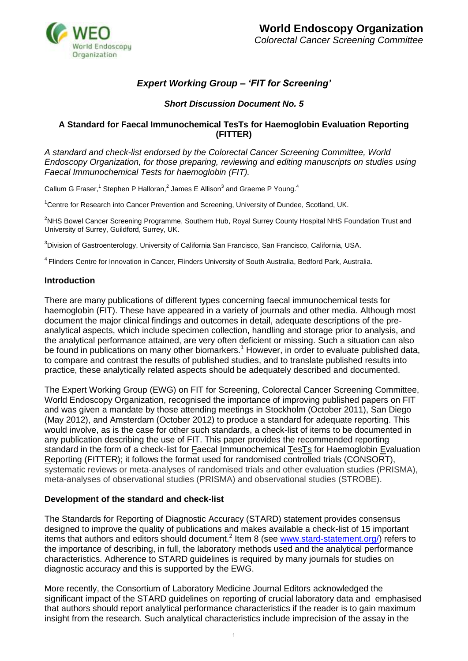

# *Expert Working Group – 'FIT for Screening'*

# *Short Discussion Document No. 5*

## **A Standard for Faecal Immunochemical TesTs for Haemoglobin Evaluation Reporting (FITTER)**

*A standard and check-list endorsed by the Colorectal Cancer Screening Committee, World Endoscopy Organization, for those preparing, reviewing and editing manuscripts on studies using Faecal Immunochemical Tests for haemoglobin (FIT).*

Callum G Fraser,<sup>1</sup> Stephen P Halloran,<sup>2</sup> James E Allison<sup>3</sup> and Graeme P Young.<sup>4</sup>

<sup>1</sup>Centre for Research into Cancer Prevention and Screening, University of Dundee, Scotland, UK.

<sup>2</sup>NHS Bowel Cancer Screening Programme, Southern Hub, Royal Surrey County Hospital NHS Foundation Trust and University of Surrey, Guildford, Surrey, UK.

<sup>3</sup>Division of Gastroenterology, University of California San Francisco, San Francisco, California, USA.

<sup>4</sup>Flinders Centre for Innovation in Cancer, Flinders University of South Australia, Bedford Park, Australia.

#### **Introduction**

There are many publications of different types concerning faecal immunochemical tests for haemoglobin (FIT). These have appeared in a variety of journals and other media. Although most document the major clinical findings and outcomes in detail, adequate descriptions of the preanalytical aspects, which include specimen collection, handling and storage prior to analysis, and the analytical performance attained, are very often deficient or missing. Such a situation can also be found in publications on many other biomarkers.<sup>1</sup> However, in order to evaluate published data, to compare and contrast the results of published studies, and to translate published results into practice, these analytically related aspects should be adequately described and documented.

The Expert Working Group (EWG) on FIT for Screening, Colorectal Cancer Screening Committee, World Endoscopy Organization, recognised the importance of improving published papers on FIT and was given a mandate by those attending meetings in Stockholm (October 2011), San Diego (May 2012), and Amsterdam (October 2012) to produce a standard for adequate reporting. This would involve, as is the case for other such standards, a check-list of items to be documented in any publication describing the use of FIT. This paper provides the recommended reporting standard in the form of a check-list for Faecal Immunochemical TesTs for Haemoglobin Evaluation Reporting (FITTER); it follows the format used for randomised controlled trials (CONSORT), systematic reviews or meta-analyses of randomised trials and other evaluation studies (PRISMA), meta-analyses of observational studies (PRISMA) and observational studies (STROBE).

#### **Development of the standard and check-list**

The Standards for Reporting of Diagnostic Accuracy (STARD) statement provides consensus designed to improve the quality of publications and makes available a check-list of 15 important items that authors and editors should document.<sup>2</sup> Item 8 (see [www.stard-statement.org/\)](http://www.stard-statement.org/) refers to the importance of describing, in full, the laboratory methods used and the analytical performance characteristics. Adherence to STARD guidelines is required by many journals for studies on diagnostic accuracy and this is supported by the EWG.

More recently, the Consortium of Laboratory Medicine Journal Editors acknowledged the significant impact of the STARD guidelines on reporting of crucial laboratory data and emphasised that authors should report analytical performance characteristics if the reader is to gain maximum insight from the research. Such analytical characteristics include imprecision of the assay in the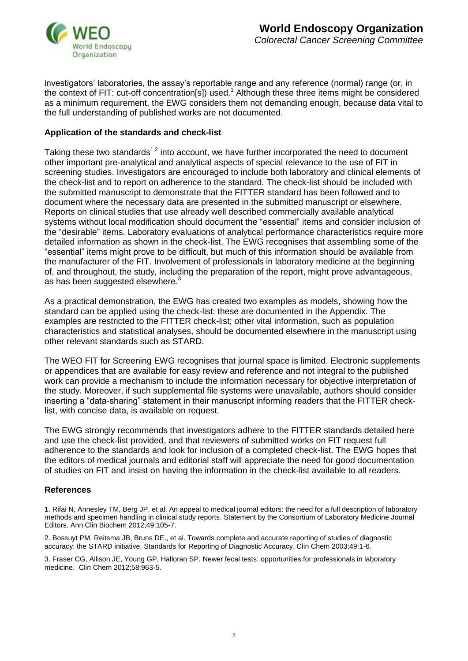

investigators' laboratories, the assay's reportable range and any reference (normal) range (or, in the context of FIT: cut-off concentration[s]) used.<sup>1</sup> Although these three items might be considered as a minimum requirement, the EWG considers them not demanding enough, because data vital to the full understanding of published works are not documented.

#### **Application of the standards and check-list**

Taking these two standards<sup>1,2</sup> into account, we have further incorporated the need to document other important pre-analytical and analytical aspects of special relevance to the use of FIT in screening studies. Investigators are encouraged to include both laboratory and clinical elements of the check-list and to report on adherence to the standard. The check-list should be included with the submitted manuscript to demonstrate that the FITTER standard has been followed and to document where the necessary data are presented in the submitted manuscript or elsewhere. Reports on clinical studies that use already well described commercially available analytical systems without local modification should document the "essential" items and consider inclusion of the "desirable" items. Laboratory evaluations of analytical performance characteristics require more detailed information as shown in the check-list. The EWG recognises that assembling some of the "essential" items might prove to be difficult, but much of this information should be available from the manufacturer of the FIT. Involvement of professionals in laboratory medicine at the beginning of, and throughout, the study, including the preparation of the report, might prove advantageous, as has been suggested elsewhere.<sup>3</sup>

As a practical demonstration, the EWG has created two examples as models, showing how the standard can be applied using the check-list: these are documented in the Appendix. The examples are restricted to the FITTER check-list; other vital information, such as population characteristics and statistical analyses, should be documented elsewhere in the manuscript using other relevant standards such as STARD.

The WEO FIT for Screening EWG recognises that journal space is limited. Electronic supplements or appendices that are available for easy review and reference and not integral to the published work can provide a mechanism to include the information necessary for objective interpretation of the study. Moreover, if such supplemental file systems were unavailable, authors should consider inserting a "data-sharing" statement in their manuscript informing readers that the FITTER checklist, with concise data, is available on request.

The EWG strongly recommends that investigators adhere to the FITTER standards detailed here and use the check-list provided, and that reviewers of submitted works on FIT request full adherence to the standards and look for inclusion of a completed check-list. The EWG hopes that the editors of medical journals and editorial staff will appreciate the need for good documentation of studies on FIT and insist on having the information in the check-list available to all readers.

#### **References**

1. Rifai N, Annesley TM, Berg JP, et al. An appeal to medical journal editors: the need for a full description of laboratory methods and specimen handling in clinical study reports. Statement by the Consortium of Laboratory Medicine Journal Editors. Ann Clin Biochem 2012;49:105-7.

2. Bossuyt PM, Reitsma JB, Bruns DE,, et al. Towards complete and accurate reporting of studies of diagnostic accuracy: the STARD initiative. Standards for Reporting of Diagnostic Accuracy. Clin Chem 2003;49:1-6.

3. Fraser CG, Allison JE, Young GP, Halloran SP. [Newer fecal tests: opportunities for professionals in laboratory](http://www.ncbi.nlm.nih.gov/pubmed/22452971)  [medicine.](http://www.ncbi.nlm.nih.gov/pubmed/22452971) Clin Chem 2012;58:963-5.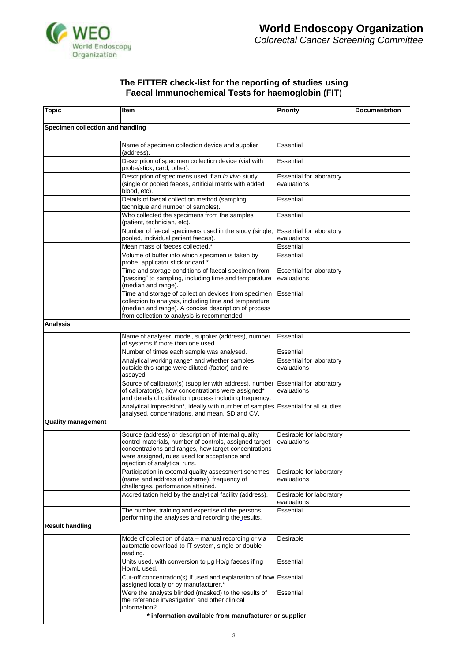

#### **The FITTER check-list for the reporting of studies using Faecal Immunochemical Tests for haemoglobin (FIT**)

| <b>Topic</b>                     | Item                                                                                                                                                                                                                                                   | <b>Priority</b>                                | <b>Documentation</b> |
|----------------------------------|--------------------------------------------------------------------------------------------------------------------------------------------------------------------------------------------------------------------------------------------------------|------------------------------------------------|----------------------|
| Specimen collection and handling |                                                                                                                                                                                                                                                        |                                                |                      |
|                                  | Name of specimen collection device and supplier<br>(address).                                                                                                                                                                                          | Essential                                      |                      |
|                                  | Description of specimen collection device (vial with<br>probe/stick, card, other).                                                                                                                                                                     | Essential                                      |                      |
|                                  | Description of specimens used if an in vivo study<br>(single or pooled faeces, artificial matrix with added<br>blood, etc).                                                                                                                            | <b>Essential for laboratory</b><br>evaluations |                      |
|                                  | Details of faecal collection method (sampling<br>technique and number of samples).                                                                                                                                                                     | Essential                                      |                      |
|                                  | Who collected the specimens from the samples<br>(patient, technician, etc).                                                                                                                                                                            | Essential                                      |                      |
|                                  | Number of faecal specimens used in the study (single,<br>pooled, individual patient faeces).                                                                                                                                                           | Essential for laboratory<br>evaluations        |                      |
|                                  | Mean mass of faeces collected.*                                                                                                                                                                                                                        | Essential                                      |                      |
|                                  | Volume of buffer into which specimen is taken by<br>probe, applicator stick or card.*                                                                                                                                                                  | Essential                                      |                      |
|                                  | Time and storage conditions of faecal specimen from<br>"passing" to sampling, including time and temperature<br>(median and range).                                                                                                                    | Essential for laboratory<br>evaluations        |                      |
|                                  | Time and storage of collection devices from specimen<br>collection to analysis, including time and temperature<br>(median and range). A concise description of process<br>from collection to analysis is recommended.                                  | Essential                                      |                      |
| Analysis                         |                                                                                                                                                                                                                                                        |                                                |                      |
|                                  | Name of analyser, model, supplier (address), number<br>of systems if more than one used.                                                                                                                                                               | Essential                                      |                      |
|                                  | Number of times each sample was analysed.                                                                                                                                                                                                              | Essential                                      |                      |
|                                  | Analytical working range* and whether samples<br>outside this range were diluted (factor) and re-<br>assayed.                                                                                                                                          | Essential for laboratory<br>evaluations        |                      |
|                                  | Source of calibrator(s) (supplier with address), number<br>of calibrator(s), how concentrations were assigned*<br>and details of calibration process including frequency.                                                                              | <b>Essential for laboratory</b><br>evaluations |                      |
|                                  | Analytical imprecision*, ideally with number of samples Essential for all studies<br>analysed, concentrations, and mean, SD and CV.                                                                                                                    |                                                |                      |
| <b>Quality management</b>        |                                                                                                                                                                                                                                                        |                                                |                      |
|                                  | Source (address) or description of internal quality<br>control materials, number of controls, assigned target<br>concentrations and ranges, how target concentrations<br>were assigned, rules used for acceptance and<br>rejection of analytical runs. | Desirable for laboratory<br>evaluations        |                      |
|                                  | Participation in external quality assessment schemes:<br>(name and address of scheme), frequency of<br>challenges, performance attained.                                                                                                               | Desirable for laboratory<br>evaluations        |                      |
|                                  | Accreditation held by the analytical facility (address).                                                                                                                                                                                               | Desirable for laboratory<br>evaluations        |                      |
|                                  | The number, training and expertise of the persons<br>performing the analyses and recording the_results.                                                                                                                                                | Essential                                      |                      |
| <b>Result handling</b>           |                                                                                                                                                                                                                                                        |                                                |                      |
|                                  | Mode of collection of data - manual recording or via<br>automatic download to IT system, single or double<br>reading.                                                                                                                                  | Desirable                                      |                      |
|                                  | Units used, with conversion to ug Hb/g faeces if ng<br>Hb/mL used.                                                                                                                                                                                     | Essential                                      |                      |
|                                  | Cut-off concentration(s) if used and explanation of how Essential<br>assigned locally or by manufacturer.*                                                                                                                                             |                                                |                      |
|                                  | Were the analysts blinded (masked) to the results of<br>the reference investigation and other clinical<br>information?                                                                                                                                 | Essential                                      |                      |
|                                  | * information available from manufacturer or supplier                                                                                                                                                                                                  |                                                |                      |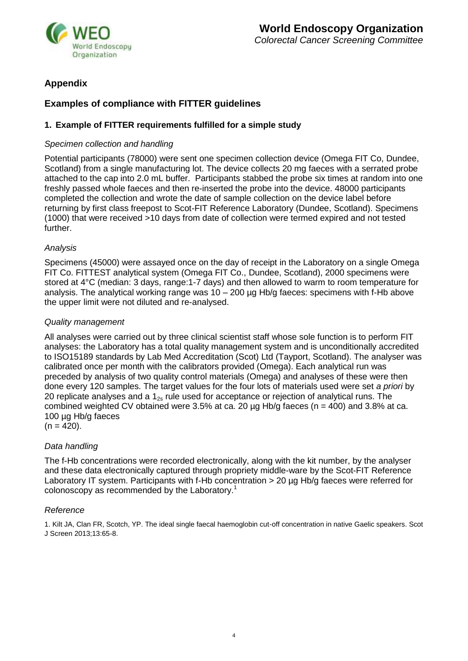

# **Appendix**

# **Examples of compliance with FITTER guidelines**

# **1. Example of FITTER requirements fulfilled for a simple study**

### *Specimen collection and handling*

Potential participants (78000) were sent one specimen collection device (Omega FIT Co, Dundee, Scotland) from a single manufacturing lot. The device collects 20 mg faeces with a serrated probe attached to the cap into 2.0 mL buffer. Participants stabbed the probe six times at random into one freshly passed whole faeces and then re-inserted the probe into the device. 48000 participants completed the collection and wrote the date of sample collection on the device label before returning by first class freepost to Scot-FIT Reference Laboratory (Dundee, Scotland). Specimens (1000) that were received >10 days from date of collection were termed expired and not tested further.

#### *Analysis*

Specimens (45000) were assayed once on the day of receipt in the Laboratory on a single Omega FIT Co. FITTEST analytical system (Omega FIT Co., Dundee, Scotland), 2000 specimens were stored at 4°C (median: 3 days, range:1-7 days) and then allowed to warm to room temperature for analysis. The analytical working range was  $10 - 200$  ug Hb/g faeces: specimens with f-Hb above the upper limit were not diluted and re-analysed.

## *Quality management*

All analyses were carried out by three clinical scientist staff whose sole function is to perform FIT analyses: the Laboratory has a total quality management system and is unconditionally accredited to ISO15189 standards by Lab Med Accreditation (Scot) Ltd (Tayport, Scotland). The analyser was calibrated once per month with the calibrators provided (Omega). Each analytical run was preceded by analysis of two quality control materials (Omega) and analyses of these were then done every 120 samples. The target values for the four lots of materials used were set *a priori* by 20 replicate analyses and a  $1_{2s}$  rule used for acceptance or rejection of analytical runs. The combined weighted CV obtained were 3.5% at ca. 20  $\mu$ g Hb/g faeces (n = 400) and 3.8% at ca. 100 µg Hb/g faeces

 $(n = 420)$ .

# *Data handling*

The f-Hb concentrations were recorded electronically, along with the kit number, by the analyser and these data electronically captured through propriety middle-ware by the Scot-FIT Reference Laboratory IT system. Participants with f-Hb concentration > 20 µg Hb/g faeces were referred for colonoscopy as recommended by the Laboratory.<sup>1</sup>

#### *Reference*

1. Kilt JA, Clan FR, Scotch, YP. The ideal single faecal haemoglobin cut-off concentration in native Gaelic speakers. Scot J Screen 2013;13:65-8.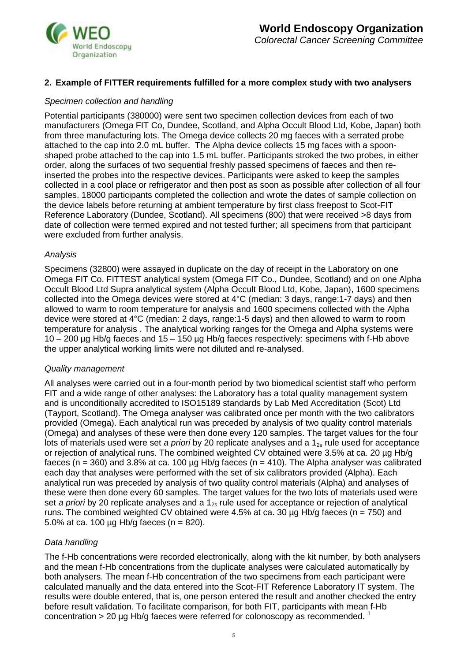

## **2. Example of FITTER requirements fulfilled for a more complex study with two analysers**

#### *Specimen collection and handling*

Potential participants (380000) were sent two specimen collection devices from each of two manufacturers (Omega FIT Co, Dundee, Scotland, and Alpha Occult Blood Ltd, Kobe, Japan) both from three manufacturing lots. The Omega device collects 20 mg faeces with a serrated probe attached to the cap into 2.0 mL buffer. The Alpha device collects 15 mg faces with a spoonshaped probe attached to the cap into 1.5 mL buffer. Participants stroked the two probes, in either order, along the surfaces of two sequential freshly passed specimens of faeces and then reinserted the probes into the respective devices. Participants were asked to keep the samples collected in a cool place or refrigerator and then post as soon as possible after collection of all four samples. 18000 participants completed the collection and wrote the dates of sample collection on the device labels before returning at ambient temperature by first class freepost to Scot-FIT Reference Laboratory (Dundee, Scotland). All specimens (800) that were received >8 days from date of collection were termed expired and not tested further; all specimens from that participant were excluded from further analysis.

#### *Analysis*

Specimens (32800) were assayed in duplicate on the day of receipt in the Laboratory on one Omega FIT Co. FITTEST analytical system (Omega FIT Co., Dundee, Scotland) and on one Alpha Occult Blood Ltd Supra analytical system (Alpha Occult Blood Ltd, Kobe, Japan), 1600 specimens collected into the Omega devices were stored at 4°C (median: 3 days, range:1-7 days) and then allowed to warm to room temperature for analysis and 1600 specimens collected with the Alpha device were stored at 4°C (median: 2 days, range:1-5 days) and then allowed to warm to room temperature for analysis . The analytical working ranges for the Omega and Alpha systems were 10 – 200 µg Hb/g faeces and 15 – 150 µg Hb/g faeces respectively: specimens with f-Hb above the upper analytical working limits were not diluted and re-analysed.

#### *Quality management*

All analyses were carried out in a four-month period by two biomedical scientist staff who perform FIT and a wide range of other analyses: the Laboratory has a total quality management system and is unconditionally accredited to ISO15189 standards by Lab Med Accreditation (Scot) Ltd (Tayport, Scotland). The Omega analyser was calibrated once per month with the two calibrators provided (Omega). Each analytical run was preceded by analysis of two quality control materials (Omega) and analyses of these were then done every 120 samples. The target values for the four lots of materials used were set *a priori* by 20 replicate analyses and a 1<sub>2s</sub> rule used for acceptance or rejection of analytical runs. The combined weighted CV obtained were 3.5% at ca. 20 µg Hb/g faeces (n = 360) and 3.8% at ca. 100 µg Hb/g faeces (n = 410). The Alpha analyser was calibrated each day that analyses were performed with the set of six calibrators provided (Alpha). Each analytical run was preceded by analysis of two quality control materials (Alpha) and analyses of these were then done every 60 samples. The target values for the two lots of materials used were set *a priori* by 20 replicate analyses and a 1<sub>2s</sub> rule used for acceptance or rejection of analytical runs. The combined weighted CV obtained were 4.5% at ca. 30  $\mu$ g Hb/g faeces (n = 750) and 5.0% at ca. 100  $\mu$ g Hb/g faeces (n = 820).

#### *Data handling*

The f-Hb concentrations were recorded electronically, along with the kit number, by both analysers and the mean f-Hb concentrations from the duplicate analyses were calculated automatically by both analysers. The mean f-Hb concentration of the two specimens from each participant were calculated manually and the data entered into the Scot-FIT Reference Laboratory IT system. The results were double entered, that is, one person entered the result and another checked the entry before result validation. To facilitate comparison, for both FIT, participants with mean f-Hb concentration > 20 µg Hb/g faeces were referred for colonoscopy as recommended.  $1$